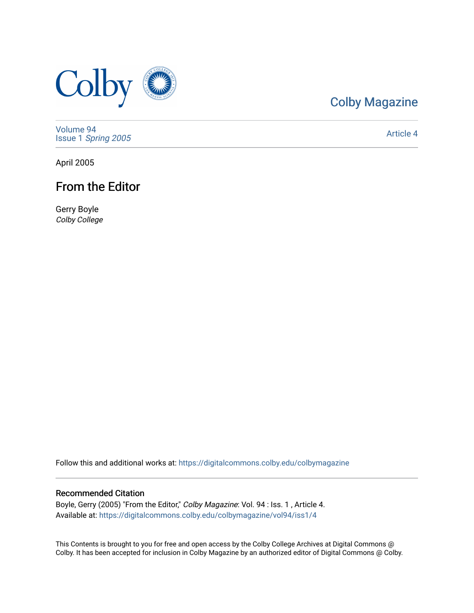

# [Colby Magazine](https://digitalcommons.colby.edu/colbymagazine)

[Volume 94](https://digitalcommons.colby.edu/colbymagazine/vol94) Issue 1 [Spring 2005](https://digitalcommons.colby.edu/colbymagazine/vol94/iss1) 

[Article 4](https://digitalcommons.colby.edu/colbymagazine/vol94/iss1/4) 

April 2005

# From the Editor

Gerry Boyle Colby College

Follow this and additional works at: [https://digitalcommons.colby.edu/colbymagazine](https://digitalcommons.colby.edu/colbymagazine?utm_source=digitalcommons.colby.edu%2Fcolbymagazine%2Fvol94%2Fiss1%2F4&utm_medium=PDF&utm_campaign=PDFCoverPages)

# Recommended Citation

Boyle, Gerry (2005) "From the Editor," Colby Magazine: Vol. 94 : Iss. 1, Article 4. Available at: [https://digitalcommons.colby.edu/colbymagazine/vol94/iss1/4](https://digitalcommons.colby.edu/colbymagazine/vol94/iss1/4?utm_source=digitalcommons.colby.edu%2Fcolbymagazine%2Fvol94%2Fiss1%2F4&utm_medium=PDF&utm_campaign=PDFCoverPages)

This Contents is brought to you for free and open access by the Colby College Archives at Digital Commons @ Colby. It has been accepted for inclusion in Colby Magazine by an authorized editor of Digital Commons @ Colby.